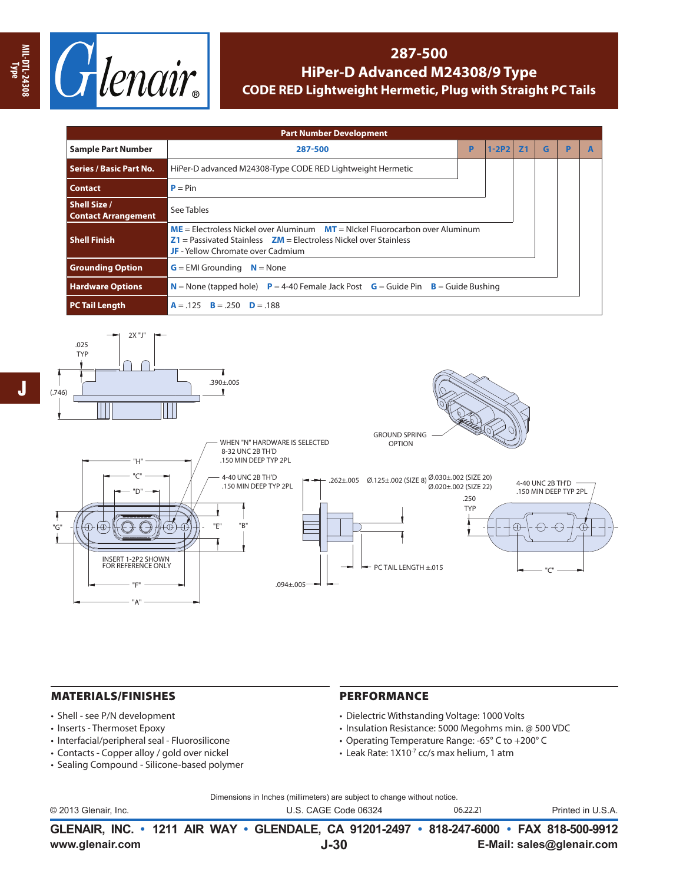

## **287-500 HiPer-D Advanced M24308/9 Type CODE RED Lightweight Hermetic, Plug with Straight PC Tails**

| <b>Part Number Development</b>                    |                                                                                                                                                                                                      |            |   |   |   |  |  |  |  |  |  |
|---------------------------------------------------|------------------------------------------------------------------------------------------------------------------------------------------------------------------------------------------------------|------------|---|---|---|--|--|--|--|--|--|
| <b>Sample Part Number</b>                         | 287-500                                                                                                                                                                                              | <b>Z</b> 1 | G | P | A |  |  |  |  |  |  |
| <b>Series / Basic Part No.</b>                    | HiPer-D advanced M24308-Type CODE RED Lightweight Hermetic                                                                                                                                           |            |   |   |   |  |  |  |  |  |  |
| <b>Contact</b>                                    | $P = Pin$                                                                                                                                                                                            |            |   |   |   |  |  |  |  |  |  |
| <b>Shell Size /</b><br><b>Contact Arrangement</b> | See Tables                                                                                                                                                                                           |            |   |   |   |  |  |  |  |  |  |
| <b>Shell Finish</b>                               | $ME =$ Electroless Nickel over Aluminum $MT =$ Nickel Fluorocarbon over Aluminum<br>$Z1$ = Passivated Stainless $ZM$ = Electroless Nickel over Stainless<br><b>JF</b> - Yellow Chromate over Cadmium |            |   |   |   |  |  |  |  |  |  |
| <b>Grounding Option</b>                           | $G = EMI$ Grounding $N = None$                                                                                                                                                                       |            |   |   |   |  |  |  |  |  |  |
| <b>Hardware Options</b>                           | <b>N</b> = None (tapped hole) <b>P</b> = 4-40 Female Jack Post <b>G</b> = Guide Pin <b>B</b> = Guide Bushing                                                                                         |            |   |   |   |  |  |  |  |  |  |
| <b>PC Tail Length</b>                             | $A = .125$ $B = .250$ $D = .188$                                                                                                                                                                     |            |   |   |   |  |  |  |  |  |  |



## MATERIALS/FINISHES

- Shell see P/N development
- Inserts Thermoset Epoxy
- Interfacial/peripheral seal Fluorosilicone
- Contacts Copper alloy / gold over nickel
- Sealing Compound Silicone-based polymer

## PERFORMANCE

- Dielectric Withstanding Voltage: 1000 Volts
- Insulation Resistance: 5000 Megohms min. @ 500 VDC
- Operating Temperature Range: -65° C to +200° C
- Leak Rate: 1X10-7 cc/s max helium, 1 atm

Dimensions in Inches (millimeters) are subject to change without notice.

| © 2013 Glenair, Inc. | U.S. CAGE Code 06324                                                                     | 06.22.21 | Printed in U.S.A. |
|----------------------|------------------------------------------------------------------------------------------|----------|-------------------|
|                      | GLENAIR, INC. • 1211 AIR WAY • GLENDALE, CA 91201-2497 • 818-247-6000 • FAX 818-500-9912 |          |                   |

**www.glenair.com E-Mail: sales@glenair.com**